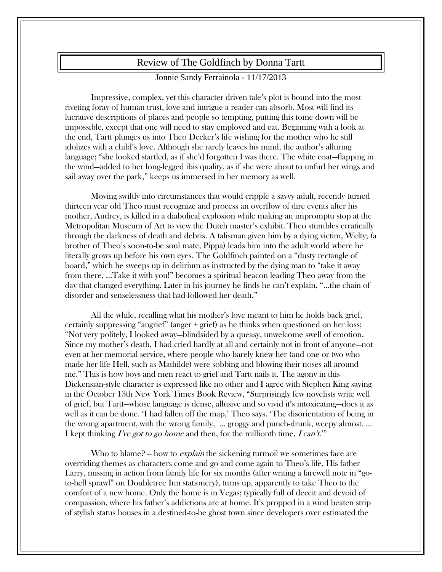## Review of The Goldfinch by Donna Tartt

## Jonnie Sandy Ferrainola - 11/17/2013

Impressive, complex, yet this character driven tale's plot is bound into the most riveting foray of human trust, love and intrigue a reader can absorb. Most will find its lucrative descriptions of places and people so tempting, putting this tome down will be impossible, except that one will need to stay employed and eat. Beginning with a look at the end, Tartt plunges us into Theo Decker's life wishing for the mother who he still idolizes with a child's love. Although she rarely leaves his mind, the author's alluring language; "she looked startled, as if she'd forgotten I was there. The white coat—flapping in the wind—added to her long-legged ibis quality, as if she were about to unfurl her wings and sail away over the park," keeps us immersed in her memory as well.

Moving swiftly into circumstances that would cripple a savvy adult, recently turned thirteen year old Theo must recognize and process an overflow of dire events after his mother, Audrey, is killed in a diabolical explosion while making an impromptu stop at the Metropolitan Museum of Art to view the Dutch master's exhibit. Theo stumbles erratically through the darkness of death and debris. A talisman given him by a dying victim, Welty; (a brother of Theo's soon-to-be soul mate, Pippa) leads him into the adult world where he literally grows up before his own eyes. The Goldfinch painted on a "dusty rectangle of board," which he sweeps up in delirium as instructed by the dying man to "take it away from there, …Take it with you!" becomes a spiritual beacon leading Theo away from the day that changed everything. Later in his journey he finds he can't explain, "…the chain of disorder and senselessness that had followed her death."

All the while, recalling what his mother's love meant to him he holds back grief, certainly suppressing "angrief" (anger + grief) as he thinks when questioned on her loss; "Not very politely, I looked away—blindsided by a queasy, unwelcome swell of emotion. Since my mother's death, I had cried hardly at all and certainly not in front of anyone—not even at her memorial service, where people who barely knew her (and one or two who made her life Hell, such as Mathilde) were sobbing and blowing their noses all around me." This is how boys and men react to grief and Tartt nails it. The agony in this Dickensian-style character is expressed like no other and I agree with Stephen King saying in the October 13th New York Times Book Review, "Surprisingly few novelists write well of grief, but Tartt—whose language is dense, allusive and so vivid it's intoxicating—does it as well as it can be done. 'I had fallen off the map,' Theo says. 'The disorientation of being in the wrong apartment, with the wrong family, … groggy and punch-drunk, weepy almost. … I kept thinking *I've got to go home* and then, for the millionth time,  $I can't''$ 

Who to blame? -- how to *explain* the sickening turmoil we sometimes face are overriding themes as characters come and go and come again to Theo's life. His father Larry, missing in action from family life for six months (after writing a farewell note in "goto-hell sprawl" on Doubletree Inn stationery), turns up, apparently to take Theo to the comfort of a new home. Only the home is in Vegas; typically full of deceit and devoid of compassion, where his father's addictions are at home. It's propped in a wind beaten strip of stylish status houses in a destined-to-be ghost town since developers over estimated the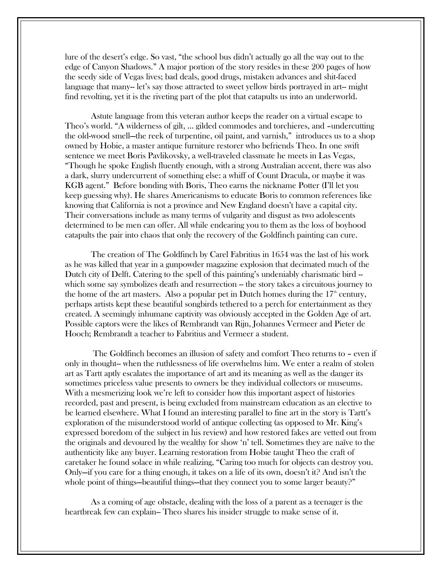lure of the desert's edge. So vast, "the school bus didn't actually go all the way out to the edge of Canyon Shadows." A major portion of the story resides in these 200 pages of how the seedy side of Vegas lives; bad deals, good drugs, mistaken advances and shit-faced language that many-- let's say those attracted to sweet yellow birds portrayed in art-- might find revolting, yet it is the riveting part of the plot that catapults us into an underworld.

Astute language from this veteran author keeps the reader on a virtual escape to Theo's world. "A wilderness of gilt, … gilded commodes and torchieres, and –undercutting the old-wood smell—the reek of turpentine, oil paint, and varnish," introduces us to a shop owned by Hobie, a master antique furniture restorer who befriends Theo. In one swift sentence we meet Boris Pavlikovsky, a well-traveled classmate he meets in Las Vegas, "Though he spoke English fluently enough, with a strong Australian accent, there was also a dark, slurry undercurrent of something else: a whiff of Count Dracula, or maybe it was KGB agent." Before bonding with Boris, Theo earns the nickname Potter (I'll let you keep guessing why). He shares Americanisms to educate Boris to common references like knowing that California is not a province and New England doesn't have a capital city. Their conversations include as many terms of vulgarity and disgust as two adolescents determined to be men can offer. All while endearing you to them as the loss of boyhood catapults the pair into chaos that only the recovery of the Goldfinch painting can cure.

The creation of The Goldfinch by Carel Fabritius in 1654 was the last of his work as he was killed that year in a gunpowder magazine explosion that decimated much of the Dutch city of Delft. Catering to the spell of this painting's undeniably charismatic bird -which some say symbolizes death and resurrection – the story takes a circuitous journey to the home of the art masters. Also a popular pet in Dutch homes during the  $17<sup>th</sup>$  century, perhaps artists kept these beautiful songbirds tethered to a perch for entertainment as they created. A seemingly inhumane captivity was obviously accepted in the Golden Age of art. Possible captors were the likes of Rembrandt van Rijn, Johannes Vermeer and Pieter de Hooch; Rembrandt a teacher to Fabritius and Vermeer a student.

The Goldfinch becomes an illusion of safety and comfort Theo returns to – even if only in thought-- when the ruthlessness of life overwhelms him. We enter a realm of stolen art as Tartt aptly escalates the importance of art and its meaning as well as the danger its sometimes priceless value presents to owners be they individual collectors or museums. With a mesmerizing look we're left to consider how this important aspect of histories recorded, past and present, is being excluded from mainstream education as an elective to be learned elsewhere. What I found an interesting parallel to fine art in the story is Tartt's exploration of the misunderstood world of antique collecting (as opposed to Mr. King's expressed boredom of the subject in his review) and how restored fakes are vetted out from the originals and devoured by the wealthy for show 'n' tell. Sometimes they are naïve to the authenticity like any buyer. Learning restoration from Hobie taught Theo the craft of caretaker he found solace in while realizing, "Caring too much for objects can destroy you. Only—if you care for a thing enough, it takes on a life of its own, doesn't it? And isn't the whole point of things—beautiful things—that they connect you to some larger beauty?"

As a coming of age obstacle, dealing with the loss of a parent as a teenager is the heartbreak few can explain-- Theo shares his insider struggle to make sense of it.